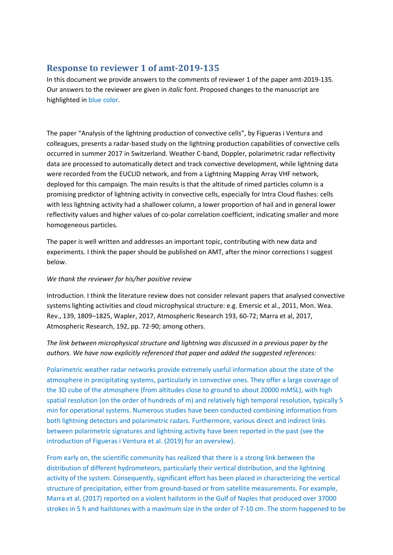# **Response to reviewer 1 of amt-2019-135**

In this document we provide answers to the comments of reviewer 1 of the paper amt-2019-135. Our answers to the reviewer are given in *italic* font. Proposed changes to the manuscript are highlighted in blue color.

The paper "Analysis of the lightning production of convective cells", by Figueras i Ventura and colleagues, presents a radar-based study on the lightning production capabilities of convective cells occurred in summer 2017 in Switzerland. Weather C-band, Doppler, polarimetric radar reflectivity data are processed to automatically detect and track convective development, while lightning data were recorded from the EUCLID network, and from a Lightning Mapping Array VHF network, deployed for this campaign. The main results is that the altitude of rimed particles column is a promising predictor of lightning activity in convective cells, especially for Intra Cloud flashes: cells with less lightning activity had a shallower column, a lower proportion of hail and in general lower reflectivity values and higher values of co-polar correlation coefficient, indicating smaller and more homogeneous particles.

The paper is well written and addresses an important topic, contributing with new data and experiments. I think the paper should be published on AMT, after the minor corrections I suggest below.

### *We thank the reviewer for his/her positive review*

Introduction. I think the literature review does not consider relevant papers that analysed convective systems lighting activities and cloud microphysical structure: e.g. Emersic et al., 2011, Mon. Wea. Rev., 139, 1809–1825, Wapler, 2017, Atmospheric Research 193, 60-72; Marra et al, 2017, Atmospheric Research, 192, pp. 72-90; among others.

## *The link between microphysical structure and lightning was discussed in a previous paper by the authors. We have now explicitly referenced that paper and added the suggested references:*

Polarimetric weather radar networks provide extremely useful information about the state of the atmosphere in precipitating systems, particularly in convective ones. They offer a large coverage of the 3D cube of the atmosphere (from altitudes close to ground to about 20000 mMSL), with high spatial resolution (on the order of hundreds of m) and relatively high temporal resolution, typically 5 min for operational systems. Numerous studies have been conducted combining information from both lightning detectors and polarimetric radars. Furthermore, various direct and indirect links between polarimetric signatures and lightning activity have been reported in the past (see the introduction of Figueras i Ventura et al. (2019) for an overview).

From early on, the scientific community has realized that there is a strong link between the distribution of different hydrometeors, particularly their vertical distribution, and the lightning activity of the system. Consequently, significant effort has been placed in characterizing the vertical structure of precipitation, either from ground-based or from satellite measurements. For example, Marra et al. (2017) reported on a violent hailstorm in the Gulf of Naples that produced over 37000 strokes in 5 h and hailstones with a maximum size in the order of 7-10 cm. The storm happened to be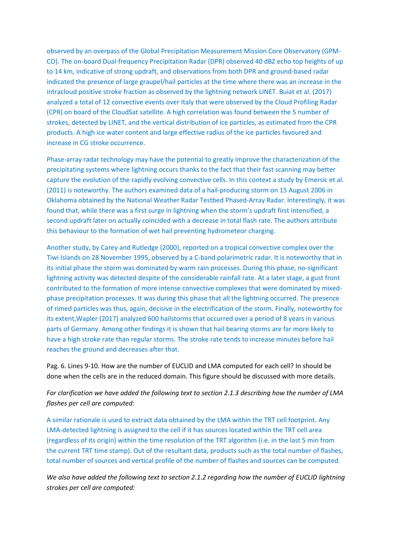observed by an overpass of the Global Precipitation Measurement Mission Core Observatory (GPM-CO). The on-board Dual-frequency Precipitation Radar (DPR) observed 40 dBZ echo top heights of up to 14 km, indicative of strong updraft, and observations from both DPR and ground-based radar indicated the presence of large graupel/hail particles at the time where there was an increase in the intracloud positive stroke fraction as observed by the lightning network LINET. Buiat et al. (2017) analyzed a total of 12 convective events over Italy that were observed by the Cloud Profiling Radar (CPR) on board of the CloudSat satellite. A high correlation was found between the 5 number of strokes, detected by LINET, and the vertical distribution of ice particles, as estimated from the CPR products. A high ice water content and large effective radius of the ice particles favoured and increase in CG stroke occurrence.

Phase-array radar technology may have the potential to greatly improve the characterization of the precipitating systems where lightning occurs thanks to the fact that their fast scanning may better capture the evolution of the rapidly evolving convective cells. In this context a study by Emersic et al. (2011) is noteworthy. The authors examined data of a hail-producing storm on 15 August 2006 in Oklahoma obtained by the National Weather Radar Testbed Phased-Array Radar. Interestingly, it was found that, while there was a first surge in lightning when the storm's updraft first intensified, a second updraft later on actually coincided with a decrease in total flash rate. The authors attribute this behaviour to the formation of wet hail preventing hydrometeor charging.

Another study, by Carey and Rutledge (2000), reported on a tropical convective complex over the Tiwi Islands on 28 November 1995, observed by a C-band polarimetric radar. It is noteworthy that in its initial phase the storm was dominated by warm rain processes. During this phase, no-significant lightning activity was detected despite of the considerable rainfall rate. At a later stage, a gust front contributed to the formation of more intense convective complexes that were dominated by mixedphase precipitation processes. It was during this phase that all the lightning occurred. The presence of rimed particles was thus, again, decisive in the electrification of the storm. Finally, noteworthy for its extent,Wapler (2017) analyzed 600 hailstorms that occurred over a period of 8 years in various parts of Germany. Among other findings it is shown that hail bearing storms are far more likely to have a high stroke rate than regular storms. The stroke rate tends to increase minutes before hail reaches the ground and decreases after that.

Pag. 6. Lines 9-10. How are the number of EUCLID and LMA computed for each cell? In should be done when the cells are in the reduced domain. This figure should be discussed with more details.

*For clarification we have added the following text to section 2.1.3 describing how the number of LMA flashes per cell are computed:*

A similar rationale is used to extract data obtained by the LMA within the TRT cell footprint. Any LMA-detected lightning is assigned to the cell if it has sources located within the TRT cell area (regardless of its origin) within the time resolution of the TRT algorithm (i.e. in the last 5 min from the current TRT time stamp). Out of the resultant data, products such as the total number of flashes, total number of sources and vertical profile of the number of flashes and sources can be computed.

*We also have added the following text to section 2.1.2 regarding how the number of EUCLID lightning strokes per cell are computed:*